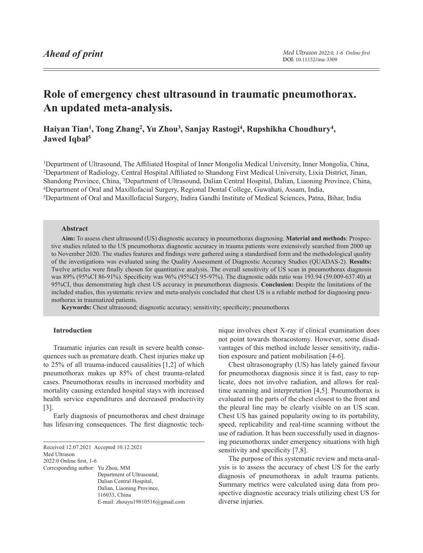# <span id="page-0-1"></span>**Role of emergency chest ultrasound in traumatic pneumothorax. An updated meta-analysis.**

# **Haiyan Tian1, Tong Zhang2, Yu Zhou3, Sanjay Rastogi4, Rupshikha Choudhury4, Jawed Iqbal5**

Department of Ultrasound, The Affiliated Hospital of Inner Mongolia Medical University, Inner Mongolia, China, Department of Radiology, Central Hospital Affiliated to Shandong First Medical University, Lixia District, Jinan, Shandong Province, China, 3Department of Ultrasound, Dalian Central Hospital, Dalian, Liaoning Province, China, Department of Oral and Maxillofacial Surgery, Regional Dental College, Guwahati, Assam, India, Department of Oral and Maxillofacial Surgery, Indira Gandhi Institute of Medical Sciences, Patna, Bihar, India

# **Abstract**

**Aim:** To assess chest ultrasound (US) diagnostic accuracy in pneumothorax diagnosing. **Material and methods**: Prospective studies related to the US pneumothorax diagnostic accuracy in trauma patients were extensively searched from 2000 up to November 2020. The studies features and findings were gathered using a standardised form and the methodological quality of the investigations was evaluated using the Quality Assessment of Diagnostic Accuracy Studies (QUADAS-2). **Results:** Twelve articles were finally chosen for quantitative analysis. The overall sensitivity of US scan in pneumothorax diagnosis was 89% (95%CI 86-91%). Specificity was 96% (95%CI 95-97%). The diagnostic odds ratio was 193.94 (59.009-637.40) at 95%CI, thus demonstrating high chest US accuracy in pneumothorax diagnosis. **Conclusion:** Despite the limitations of the included studies, this systematic review and meta-analysis concluded that chest US is a reliable method for diagnosing pneumothorax in traumatized patients.

**Keywords:** Chest ultrasound; diagnostic accuracy; sensitivity; specificity; pneumothorax

# **Introduction**

Traumatic injuries can result in severe health consequences such as premature death. Chest injuries make up to 25% of all trauma-induced causalities [1,2] of which pneumothorax makes up 85% of chest trauma-related cases. Pneumothorax results in increased morbidity and mortality causing extended hospital stays with increased health service expenditures and decreased productivity [3].

Early diagnosis of pneumothorax and chest drainage has lifesaving consequences. The first diagnostic tech-

<span id="page-0-0"></span>Received 12.07.2021 Accepted 10.12.2021 Med Ultrason 2022:0 Online first, [1](#page-0-0)-6 Corresponding author: Yu Zhou, MM Department of Ultrasound, Dalian Central Hospital, Dalian, Liaoning Province, 116033, China E-mail: zhouyu19810516@gmail.com nique involves chest X-ray if clinical examination does not point towards thoracostomy. However, some disadvantages of this method include lesser sensitivity, radiation exposure and patient mobilisation [4-6].

Chest ultrasonography (US) has lately gained favour for pneumothorax diagnosis since it is fast, easy to replicate, does not involve radiation, and allows for realtime scanning and interpretation [4,5]. Pneumothorax is evaluated in the parts of the chest closest to the front and the pleural line may be clearly visible on an US scan. Chest US has gained popularity owing to its portability, speed, replicability and real-time scanning without the use of radiation. It has been successfully used in diagnosing pneumothorax under emergency situations with high sensitivity and specificity [7,8].

The purpose of this systematic review and meta-analysis is to assess the accuracy of chest US for the early diagnosis of pneumothorax in adult trauma patients. Summary metrics were calculated using data from prospective diagnostic accuracy trials utilizing chest US for diverse injuries.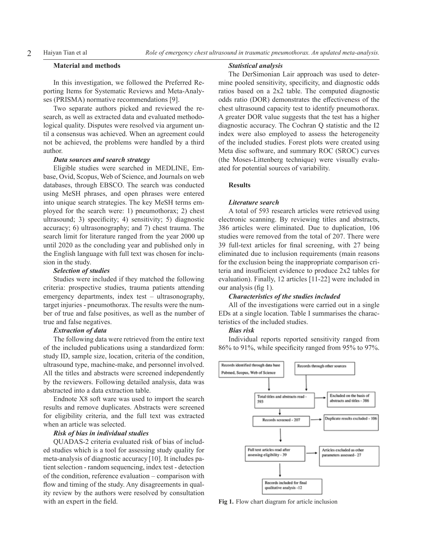# **Material and methods**

In this investigation, we followed the Preferred Reporting Items for Systematic Reviews and Meta-Analyses (PRISMA) normative recommendations [9].

Two separate authors picked and reviewed the research, as well as extracted data and evaluated methodological quality. Disputes were resolved via argument until a consensus was achieved. When an agreement could not be achieved, the problems were handled by a third author.

# *Data sources and search strategy*

Eligible studies were searched in MEDLINE, Embase, Ovid, Scopus, Web of Science, and Journals on web databases, through EBSCO. The search was conducted using MeSH phrases, and open phrases were entered into unique search strategies. The key MeSH terms employed for the search were: 1) pneumothorax; 2) chest ultrasound; 3) specificity; 4) sensitivity; 5) diagnostic accuracy; 6) ultrasonography; and 7) chest trauma. The search limit for literature ranged from the year 2000 up until 2020 as the concluding year and published only in the English language with full text was chosen for inclusion in the study.

# *Selection of studies*

Studies were included if they matched the following criteria: prospective studies, trauma patients attending emergency departments, index test – ultrasonography, target injuries - pneumothorax. The results were the number of true and false positives, as well as the number of true and false negatives.

# *Extraction of data*

The following data were retrieved from the entire text of the included publications using a standardized form: study ID, sample size, location, criteria of the condition, ultrasound type, machine-make, and personnel involved. All the titles and abstracts were screened independently by the reviewers. Following detailed analysis, data was abstracted into a data extraction table.

Endnote X8 soft ware was used to import the search results and remove duplicates. Abstracts were screened for eligibility criteria, and the full text was extracted when an article was selected.

# *Risk of bias in individual studies*

QUADAS-2 criteria evaluated risk of bias of included studies which is a tool for assessing study quality for meta-analysis of diagnostic accuracy [10]. It includes patient selection - random sequencing, index test - detection of the condition, reference evaluation – comparison with flow and timing of the study. Any disagreements in quality review by the authors were resolved by consultation with an expert in the field.

#### *Statistical analysis*

The DerSimonian Lair approach was used to determine pooled sensitivity, specificity, and diagnostic odds ratios based on a 2x2 table. The computed diagnostic odds ratio (DOR) demonstrates the effectiveness of the chest ultrasound capacity test to identify pneumothorax. A greater DOR value suggests that the test has a higher diagnostic accuracy. The Cochran Q statistic and the I2 index were also employed to assess the heterogeneity of the included studies. Forest plots were created using Meta disc software, and summary ROC (SROC) curves (the Moses-Littenberg technique) were visually evaluated for potential sources of variability.

# **Results**

#### *Literature search*

A total of 593 research articles were retrieved using electronic scanning. By reviewing titles and abstracts, 386 articles were eliminated. Due to duplication, 106 studies were removed from the total of 207. There were 39 full-text articles for final screening, with 27 being eliminated due to inclusion requirements (main reasons for the exclusion being the inappropriate comparison criteria and insufficient evidence to produce 2x2 tables for evaluation). Finally, 12 articles [11-22] were included in our analysis (fig 1).

# *Characteristics of the studies included*

All of the investigations were carried out in a single EDs at a single location. Table I summarises the characteristics of the included studies.

# *Bias risk*

Individual reports reported sensitivity ranged from 86% to 91%, while specificity ranged from 95% to 97%.



**Fig 1.** Flow chart diagram for article inclusion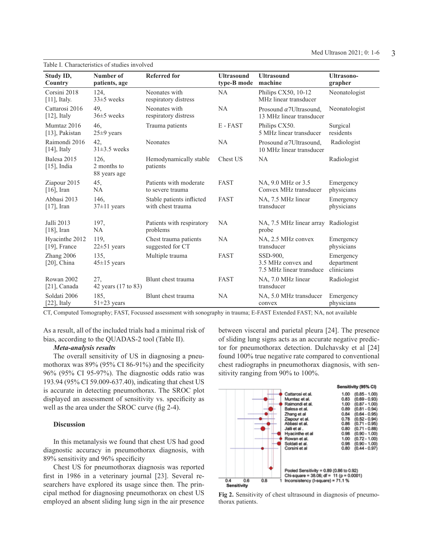| Table I. Characteristics of studies involved |                                     |                                                                                                           |                                  |                                                            |                                       |  |  |  |  |
|----------------------------------------------|-------------------------------------|-----------------------------------------------------------------------------------------------------------|----------------------------------|------------------------------------------------------------|---------------------------------------|--|--|--|--|
| Study ID,<br>Country                         | Number of<br>patients, age          | <b>Referred for</b>                                                                                       | <b>Ultrasound</b><br>type-B mode | <b>Ultrasound</b><br>machine                               | <b>Ultrasono-</b><br>grapher          |  |  |  |  |
| Corsini 2018<br>$[11]$ , Italy.              | 124,<br>$33\pm5$ weeks              | Neonates with<br>respiratory distress                                                                     | NA                               | Philips CX50, 10-12<br>MHz linear transducer               | Neonatologist                         |  |  |  |  |
| Cattarosi 2016<br>$[12]$ , Italy             | 49.<br>$36±5$ weeks                 | Neonates with<br>NA<br>Prosound $\alpha$ 7Ultrasound,<br>respiratory distress<br>13 MHz linear transducer |                                  | Neonatologist                                              |                                       |  |  |  |  |
| Mumtaz 2016<br>[13], Pakistan                | 46.<br>$25\pm9$ years               | Trauma patients                                                                                           | E-FAST                           | Philips CX50.<br>5 MHz linear transducer                   | Surgical<br>residents                 |  |  |  |  |
| Raimondi 2016<br>$[14]$ , Italy              | 42,<br>$31\pm3.5$ weeks             | Neonates                                                                                                  | <b>NA</b>                        | Prosound $\alpha$ 7Ultrasound,<br>10 MHz linear transducer | Radiologist                           |  |  |  |  |
| Balesa 2015<br>$[15]$ , India                | 126,<br>2 months to<br>88 years age | Hemodynamically stable<br>patients                                                                        | Chest US                         | <b>NA</b>                                                  | Radiologist                           |  |  |  |  |
| Ziapour 2015<br>$[16]$ , Iran                | 45,<br>NA                           | Patients with moderate<br>to severe trauma                                                                | <b>FAST</b>                      | NA, 9.0 MHz or 3.5<br>Convex MHz transducer                | Emergency<br>physicians               |  |  |  |  |
| Abbasi 2013<br>$[17]$ , Iran                 | 146,<br>$37\pm11$ years             | Stable patients inflicted<br>with chest trauma                                                            | <b>FAST</b>                      | NA, 7.5 MHz linear<br>transducer                           | Emergency<br>physicians               |  |  |  |  |
| Jalli 2013<br>$[18]$ , Iran                  | 197,<br>NA                          | Patients with respiratory<br>problems                                                                     | <b>NA</b>                        | NA, 7.5 MHz linear array Radiologist<br>probe              |                                       |  |  |  |  |
| Hyacinthe 2012<br>$[19]$ , France            | 119,<br>$22\pm51$ years             | Chest trauma patients<br>suggested for CT                                                                 | <b>NA</b>                        | NA, 2.5 MHz convex<br>transducer                           | Emergency<br>physicians               |  |  |  |  |
| Zhang 2006<br>$[20]$ , China                 | 135,<br>$45 \pm 15$ years           | Multiple trauma<br><b>FAST</b><br>SSD-900,                                                                |                                  | 3.5 MHz convex and<br>7.5 MHz linear transduce             | Emergency<br>department<br>clinicians |  |  |  |  |
| Rowan 2002<br>$[21]$ , Canada                | 27,<br>42 years (17 to 83)          | Blunt chest trauma                                                                                        | <b>FAST</b>                      | NA, 7.0 MHz linear<br>transducer                           | Radiologist                           |  |  |  |  |
| Soldati 2006<br>$[22]$ , Italy               | 185,<br>$51+23$ years               | Blunt chest trauma                                                                                        | <b>NA</b>                        | NA, 5.0 MHz transducer<br>convex                           | Emergency<br>physicians               |  |  |  |  |

CT, Computed Tomography; FAST, Focussed assessment with sonography in trauma; E-FAST Extended FAST; NA, not available

As a result, all of the included trials had a minimal risk of bias, according to the QUADAS-2 tool (Table II).

# *Meta-analysis results*

The overall sensitivity of US in diagnosing a pneumothorax was 89% (95% CI 86-91%) and the specificity 96% (95% CI 95-97%). The diagnostic odds ratio was 193.94 (95% CI 59.009-637.40), indicating that chest US is accurate in detecting pneumothorax. The SROC plot displayed an assessment of sensitivity vs. specificity as well as the area under the SROC curve (fig 2-4).

# **Discussion**

In this metanalysis we found that chest US had good diagnostic accuracy in pneumothorax diagnosis, with 89% sensitivity and 96% specificity

Chest US for pneumothorax diagnosis was reported first in 1986 in a veterinary journal [23]. Several researchers have explored its usage since then. The principal method for diagnosing pneumothorax on chest US employed an absent sliding lung sign in the air presence between visceral and parietal pleura [24]. The presence of sliding lung signs acts as an accurate negative predictor for pneumothorax detection. Dulchavsky et al [24] found 100% true negative rate compared to conventional chest radiographs in pneumothorax diagnosis, with sensitivity ranging from 90% to 100%.



**Fig 2.** Sensitivity of chest ultrasound in diagnosis of pneumothorax patients.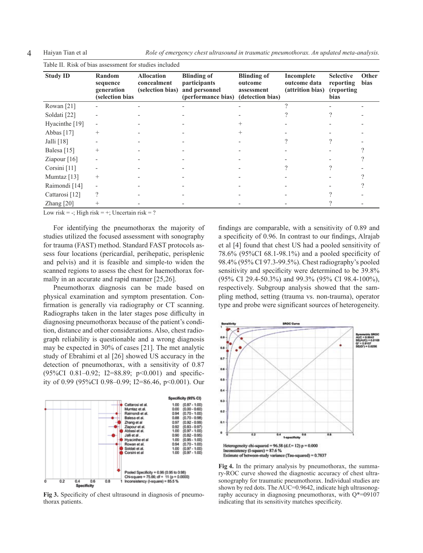4 Haiyan Tian et al *Role of emergency chest ultrasound in traumatic pneumothorax. An updated meta-analysis.* 

| <b>Study ID</b>           | Random<br>sequence<br>generation<br>(selection bias | <b>Allocation</b><br>concealment<br>(selection bias) | <b>Blinding of</b><br><i>participants</i><br>and personnel<br>(performance bias) | <b>Blinding of</b><br>outcome<br>assessment<br>(detection bias) | Incomplete<br>outcome data<br>(attrition bias) | <b>Selective</b><br>reporting<br>(reporting)<br>bias | Other<br>bias |
|---------------------------|-----------------------------------------------------|------------------------------------------------------|----------------------------------------------------------------------------------|-----------------------------------------------------------------|------------------------------------------------|------------------------------------------------------|---------------|
| Rowan [21]                |                                                     |                                                      |                                                                                  |                                                                 |                                                |                                                      |               |
| Soldati [22]              |                                                     |                                                      |                                                                                  |                                                                 |                                                |                                                      |               |
| Hyacinthe $[19]$          |                                                     |                                                      |                                                                                  |                                                                 |                                                |                                                      |               |
| Abbas [17]                | $^{+}$                                              |                                                      |                                                                                  |                                                                 |                                                |                                                      |               |
| Jalli $[18]$              |                                                     |                                                      |                                                                                  |                                                                 |                                                |                                                      |               |
| Balesa <sup>[15]</sup>    | $^{+}$                                              |                                                      |                                                                                  |                                                                 |                                                |                                                      |               |
| Ziapour $[16]$            |                                                     |                                                      |                                                                                  |                                                                 |                                                |                                                      |               |
| Corsini [11]              |                                                     |                                                      |                                                                                  |                                                                 |                                                |                                                      |               |
| Mumtaz $[13]$             | $^{+}$                                              |                                                      |                                                                                  |                                                                 |                                                |                                                      |               |
| Raimondi [14]             |                                                     |                                                      |                                                                                  |                                                                 |                                                |                                                      |               |
| Cattarosi <sup>[12]</sup> | ?                                                   |                                                      |                                                                                  |                                                                 |                                                |                                                      |               |
| Zhang $[20]$              |                                                     |                                                      |                                                                                  |                                                                 |                                                |                                                      |               |

Low risk  $= -$ ; High risk  $= +$ ; Uncertain risk  $= ?$ 

For identifying the pneumothorax the majority of studies utilized the focused assessment with sonography for trauma (FAST) method. Standard FAST protocols assess four locations (pericardial, perihepatic, perisplenic and pelvis) and it is feasible and simple-to widen the scanned regions to assess the chest for haemothorax formally in an accurate and rapid manner [25,26].

Pneumothorax diagnosis can be made based on physical examination and symptom presentation. Confirmation is generally via radiography or CT scanning. Radiographs taken in the later stages pose difficulty in diagnosing pneumothorax because of the patient's condition, distance and other considerations. Also, chest radiograph reliability is questionable and a wrong diagnosis may be expected in 30% of cases [21]. The met analytic study of Ebrahimi et al [26] showed US accuracy in the detection of pneumothorax, with a sensitivity of 0.87 (95%CI 0.81–0.92; I2=88.89; p<0.001) and specificity of 0.99 (95%CI 0.98–0.99; I2=86.46, p<0.001). Our



**Fig 3.** Specificity of chest ultrasound in diagnosis of pneumothorax patients.

findings are comparable, with a sensitivity of 0.89 and a specificity of 0.96. In contrast to our findings, Alrajab et al [4] found that chest US had a pooled sensitivity of 78.6% (95%CI 68.1-98.1%) and a pooled specificity of 98.4% (95% CI 97.3-99.5%). Chest radiography's pooled sensitivity and specificity were determined to be 39.8% (95% CI 29.4-50.3%) and 99.3% (95% CI 98.4-100%), respectively. Subgroup analysis showed that the sampling method, setting (trauma vs. non-trauma), operator type and probe were significant sources of heterogeneity.



**Fig 4.** In the primary analysis by pneumothorax, the summary-ROC curve showed the diagnostic accuracy of chest ultrasonography for traumatic pneumothorax. Individual studies are shown by red dots. The AUC=0.9642, indicate high ultrasonography accuracy in diagnosing pneumothorax, with  $Q^*$ =09107 indicating that its sensitivity matches specificity.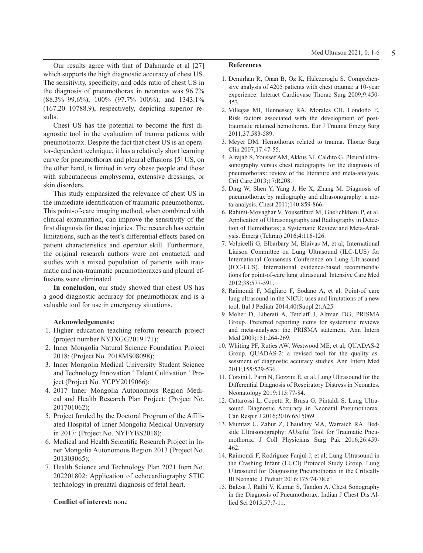Our results agree with that of Dahmarde et al [27] which supports the high diagnostic accuracy of chest US. The sensitivity, specificity, and odds ratio of chest US in the diagnosis of pneumothorax in neonates was 96.7% (88.3%–99.6%), 100% (97.7%–100%), and 1343.1% (167.20–10788.9), respectively, depicting superior results.

Chest US has the potential to become the first diagnostic tool in the evaluation of trauma patients with pneumothorax. Despite the fact that chest US is an operator-dependent technique, it has a relatively short learning curve for pneumothorax and pleural effusions [5] US, on the other hand, is limited in very obese people and those with subcutaneous emphysema, extensive dressings, or skin disorders.

This study emphasized the relevance of chest US in the immediate identification of traumatic pneumothorax. This point-of-care imaging method, when combined with clinical examination, can improve the sensitivity of the first diagnosis for these injuries. The research has certain limitations, such as the test's differential effects based on patient characteristics and operator skill. Furthermore, the original research authors were not contacted, and studies with a mixed population of patients with traumatic and non-traumatic pneumothoraxes and pleural effusions were eliminated.

**In conclusion,** our study showed that chest US has a good diagnostic accuracy for pneumothorax and is a valuable tool for use in emergency situations.

### **Acknowledgements:**

- 1. Higher education teaching reform research project (project number NYJXGG2019171);
- 2. Inner Mongolia Natural Science Foundation Project 2018: (Project No. 2018MS08098);
- 3. Inner Mongolia Medical University Student Science and Technology Innovation ' Talent Cultivation ' Project (Project No. YCPY2019066);
- 4. 2017 Inner Mongolia Autonomous Region Medical and Health Research Plan Project: (Project No. 201701062);
- 5. Project funded by the Doctoral Program of the Affiliated Hospital of Inner Mongolia Medical University in 2017: (Project No. NYFYBS2018);
- 6. Medical and Health Scientific Research Project in Inner Mongolia Autonomous Region 2013 (Project No. 201303065);
- 7. Health Science and Technology Plan 2021 Item No. 202201802: Application of echocardiography STIC technology in prenatal diagnosis of fetal heart.

### **Conflict of interest:** none

#### **References**

- 1. Demirhan R, Onan B, Oz K, Halezeroglu S. Comprehensive analysis of 4205 patients with chest trauma: a 10-year experience. Interact Cardiovasc Thorac Surg 2009;9:450- 453.
- 2. Villegas MI, Hennessey RA, Morales CH, Londoño E. Risk factors associated with the development of posttraumatic retained hemothorax. Eur J Trauma Emerg Surg 2011;37:583-589.
- 3. Meyer DM. Hemothorax related to trauma. Thorac Surg Clin 2007;17:47-55.
- 4. Alrajab S, Youssef AM, Akkus NI, Caldito G. Pleural ultrasonography versus chest radiography for the diagnosis of pneumothorax: review of the literature and meta-analysis. Crit Care 2013;17:R208.
- 5. Ding W, Shen Y, Yang J, He X, Zhang M. Diagnosis of pneumothorax by radiography and ultrasonography: a meta-analysis. Chest 2011;140:859-866.
- 6. Rahimi-Movaghar V, Yousefifard M, Ghelichkhani P, et al. Application of Ultrasonography and Radiography in Detection of Hemothorax; a Systematic Review and Meta-Analysis. Emerg (Tehran) 2016;4:116-126.
- 7. Volpicelli G, Elbarbary M, Blaivas M, et al; International Liaison Committee on Lung Ultrasound (ILC-LUS) for International Consensus Conference on Lung Ultrasound (ICC-LUS). International evidence-based recommendations for point-of-care lung ultrasound. Intensive Care Med 2012;38:577-591.
- 8. Raimondi F, Migliaro F, Sodano A, et al. Point-of care lung ultrasound in the NICU: uses and limitations of a new tool. Ital J Pediatr 2014;40(Suppl 2):A25.
- 9. Moher D, Liberati A, Tetzlaff J, Altman DG; PRISMA Group. Preferred reporting items for systematic reviews and meta-analyses: the PRISMA statement. Ann Intern Med 2009;151:264-269.
- 10. Whiting PF, Rutjes AW, Westwood ME, et al; QUADAS-2 Group. QUADAS-2: a revised tool for the quality assessment of diagnostic accuracy studies. Ann Intern Med 2011;155:529-536.
- 11. Corsini I, Parri N, Gozzini E, et al. Lung Ultrasound for the Differential Diagnosis of Respiratory Distress in Neonates. Neonatology 2019;115:77-84.
- 12. Cattarossi L, Copetti R, Brusa G, Pintaldi S. Lung Ultrasound Diagnostic Accuracy in Neonatal Pneumothorax. Can Respir J 2016;2016:6515069.
- 13. Mumtaz U, Zahur Z, Chaudhry MA, Warraich RA. Bedside Ultrasonography: AUseful Tool for Traumatic Pneumothorax. J Coll Physicians Surg Pak 2016;26:459- 462.
- 14. Raimondi F, Rodriguez Fanjul J, et al; Lung Ultrasound in the Crashing Infant (LUCI) Protocol Study Group. Lung Ultrasound for Diagnosing Pneumothorax in the Critically Ill Neonate. J Pediatr 2016;175:74-78.e1
- 15. Balesa J, Rathi V, Kumar S, Tandon A. Chest Sonography in the Diagnosis of Pneumothorax. Indian J Chest Dis Allied Sci 2015;57:7-11.